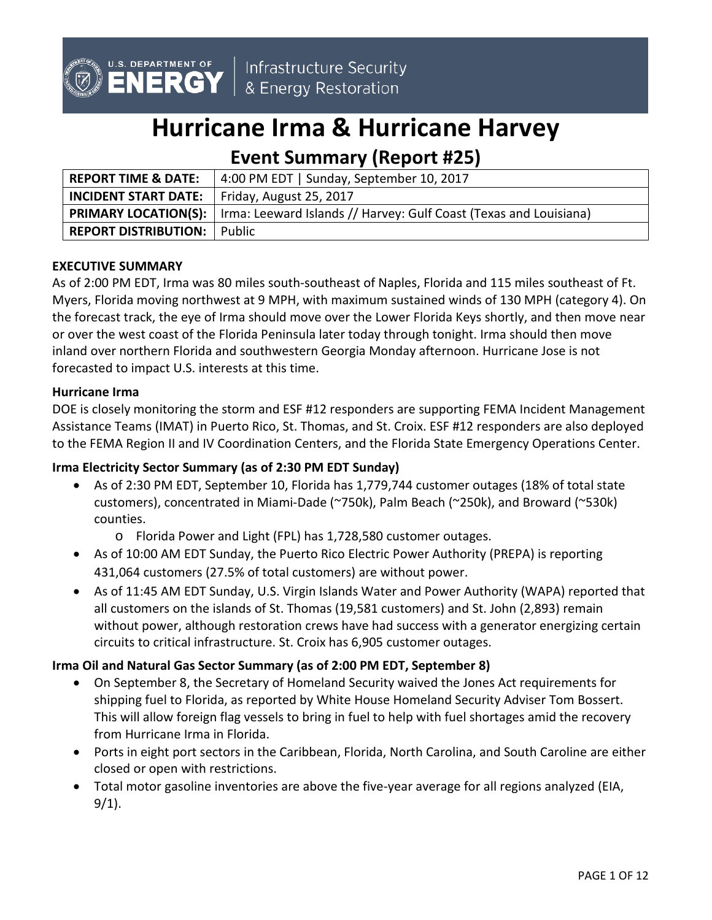

# **Hurricane Irma & Hurricane Harvey**

# **Event Summary (Report #25)**

| <b>REPORT TIME &amp; DATE:</b>                      | 4:00 PM EDT   Sunday, September 10, 2017                                                        |
|-----------------------------------------------------|-------------------------------------------------------------------------------------------------|
| <b>INCIDENT START DATE:</b> Friday, August 25, 2017 |                                                                                                 |
|                                                     | <b>PRIMARY LOCATION(S):</b>   Irma: Leeward Islands // Harvey: Gulf Coast (Texas and Louisiana) |
| <b>REPORT DISTRIBUTION:</b> Public                  |                                                                                                 |

# **EXECUTIVE SUMMARY**

U.S. DEPARTMENT OF

As of 2:00 PM EDT, Irma was 80 miles south-southeast of Naples, Florida and 115 miles southeast of Ft. Myers, Florida moving northwest at 9 MPH, with maximum sustained winds of 130 MPH (category 4). On the forecast track, the eye of Irma should move over the Lower Florida Keys shortly, and then move near or over the west coast of the Florida Peninsula later today through tonight. Irma should then move inland over northern Florida and southwestern Georgia Monday afternoon. Hurricane Jose is not forecasted to impact U.S. interests at this time.

#### **Hurricane Irma**

DOE is closely monitoring the storm and ESF #12 responders are supporting FEMA Incident Management Assistance Teams (IMAT) in Puerto Rico, St. Thomas, and St. Croix. ESF #12 responders are also deployed to the FEMA Region II and IV Coordination Centers, and the Florida State Emergency Operations Center.

# **Irma Electricity Sector Summary (as of 2:30 PM EDT Sunday)**

- As of 2:30 PM EDT, September 10, Florida has 1,779,744 customer outages (18% of total state customers), concentrated in Miami-Dade (~750k), Palm Beach (~250k), and Broward (~530k) counties.
	- o Florida Power and Light (FPL) has 1,728,580 customer outages.
- As of 10:00 AM EDT Sunday, the Puerto Rico Electric Power Authority (PREPA) is reporting 431,064 customers (27.5% of total customers) are without power.
- As of 11:45 AM EDT Sunday, U.S. Virgin Islands Water and Power Authority (WAPA) reported that all customers on the islands of St. Thomas (19,581 customers) and St. John (2,893) remain without power, although restoration crews have had success with a generator energizing certain circuits to critical infrastructure. St. Croix has 6,905 customer outages.

# **Irma Oil and Natural Gas Sector Summary (as of 2:00 PM EDT, September 8)**

- On September 8, the Secretary of Homeland Security waived the Jones Act requirements for shipping fuel to Florida, as reported by White House Homeland Security Adviser Tom Bossert. This will allow foreign flag vessels to bring in fuel to help with fuel shortages amid the recovery from Hurricane Irma in Florida.
- Ports in eight port sectors in the Caribbean, Florida, North Carolina, and South Caroline are either closed or open with restrictions.
- Total motor gasoline inventories are above the five-year average for all regions analyzed (EIA, 9/1).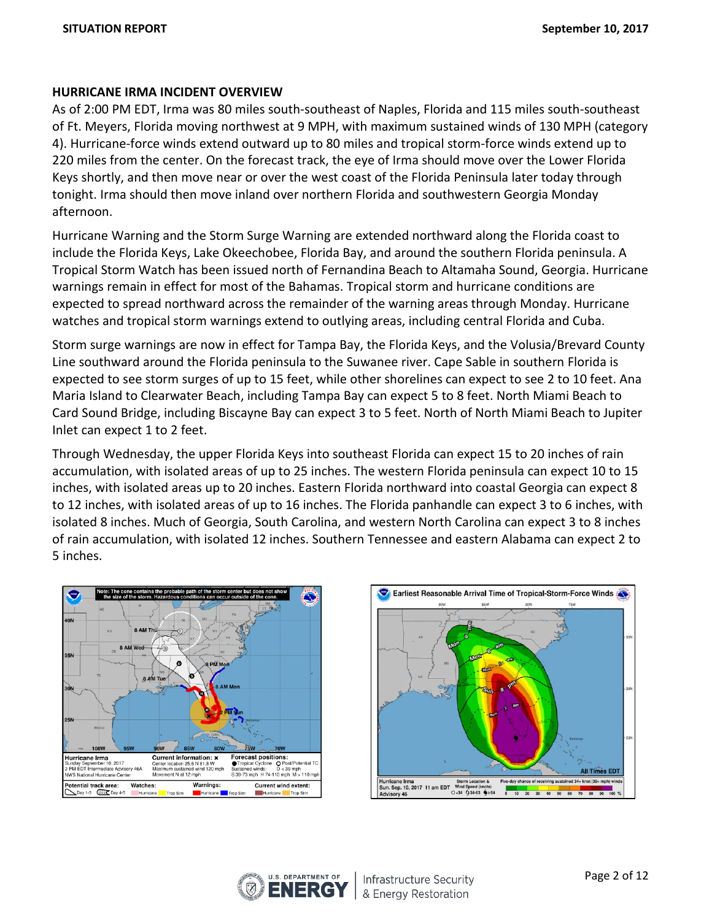# **HURRICANE IRMA INCIDENT OVERVIEW**

As of 2:00 PM EDT, Irma was 80 miles south-southeast of Naples, Florida and 115 miles south-southeast of Ft. Meyers, Florida moving northwest at 9 MPH, with maximum sustained winds of 130 MPH (category 4). Hurricane-force winds extend outward up to 80 miles and tropical storm-force winds extend up to 220 miles from the center. On the forecast track, the eye of Irma should move over the Lower Florida Keys shortly, and then move near or over the west coast of the Florida Peninsula later today through tonight. Irma should then move inland over northern Florida and southwestern Georgia Monday afternoon.

Hurricane Warning and the Storm Surge Warning are extended northward along the Florida coast to include the Florida Keys, Lake Okeechobee, Florida Bay, and around the southern Florida peninsula. A Tropical Storm Watch has been issued north of Fernandina Beach to Altamaha Sound, Georgia. Hurricane warnings remain in effect for most of the Bahamas. Tropical storm and hurricane conditions are expected to spread northward across the remainder of the warning areas through Monday. Hurricane watches and tropical storm warnings extend to outlying areas, including central Florida and Cuba.

Storm surge warnings are now in effect for Tampa Bay, the Florida Keys, and the Volusia/Brevard County Line southward around the Florida peninsula to the Suwanee river. Cape Sable in southern Florida is expected to see storm surges of up to 15 feet, while other shorelines can expect to see 2 to 10 feet. Ana Maria Island to Clearwater Beach, including Tampa Bay can expect 5 to 8 feet. North Miami Beach to Card Sound Bridge, including Biscayne Bay can expect 3 to 5 feet. North of North Miami Beach to Jupiter Inlet can expect 1 to 2 feet.

Through Wednesday, the upper Florida Keys into southeast Florida can expect 15 to 20 inches of rain accumulation, with isolated areas of up to 25 inches. The western Florida peninsula can expect 10 to 15 inches, with isolated areas up to 20 inches. Eastern Florida northward into coastal Georgia can expect 8 to 12 inches, with isolated areas of up to 16 inches. The Florida panhandle can expect 3 to 6 inches, with isolated 8 inches. Much of Georgia, South Carolina, and western North Carolina can expect 3 to 8 inches of rain accumulation, with isolated 12 inches. Southern Tennessee and eastern Alabama can expect 2 to 5 inches.





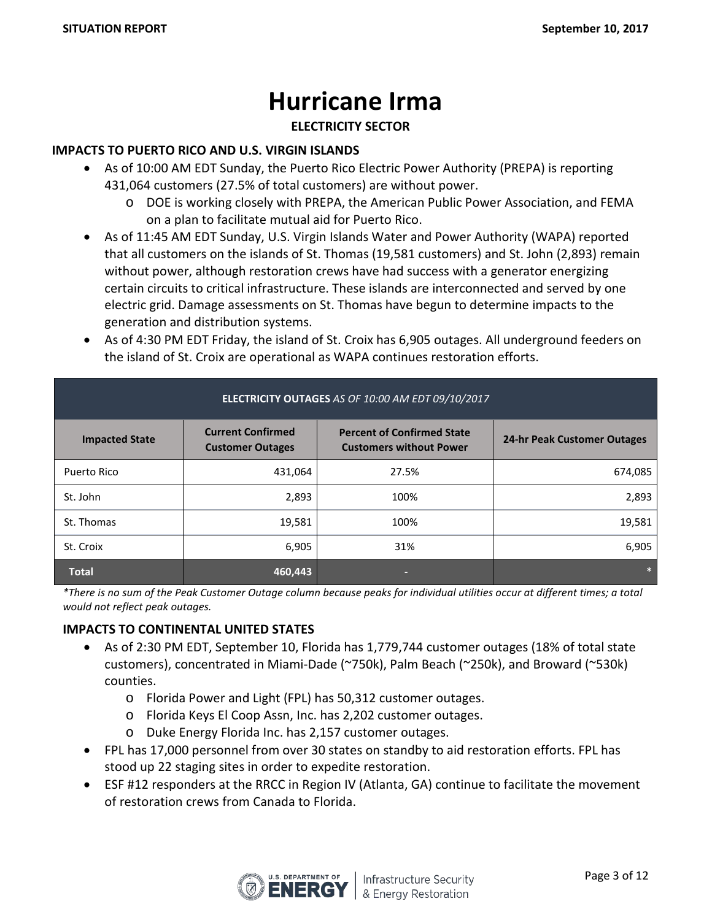# **Hurricane Irma**

# **ELECTRICITY SECTOR**

### **IMPACTS TO PUERTO RICO AND U.S. VIRGIN ISLANDS**

- As of 10:00 AM EDT Sunday, the Puerto Rico Electric Power Authority (PREPA) is reporting
	- 431,064 customers (27.5% of total customers) are without power.
		- o DOE is working closely with PREPA, the American Public Power Association, and FEMA on a plan to facilitate mutual aid for Puerto Rico.
- As of 11:45 AM EDT Sunday, U.S. Virgin Islands Water and Power Authority (WAPA) reported that all customers on the islands of St. Thomas (19,581 customers) and St. John (2,893) remain without power, although restoration crews have had success with a generator energizing certain circuits to critical infrastructure. These islands are interconnected and served by one electric grid. Damage assessments on St. Thomas have begun to determine impacts to the generation and distribution systems.
- As of 4:30 PM EDT Friday, the island of St. Croix has 6,905 outages. All underground feeders on the island of St. Croix are operational as WAPA continues restoration efforts.

| ELECTRICITY OUTAGES AS OF 10:00 AM EDT 09/10/2017 |                                                     |                                                                     |                             |  |  |
|---------------------------------------------------|-----------------------------------------------------|---------------------------------------------------------------------|-----------------------------|--|--|
| <b>Impacted State</b>                             | <b>Current Confirmed</b><br><b>Customer Outages</b> | <b>Percent of Confirmed State</b><br><b>Customers without Power</b> | 24-hr Peak Customer Outages |  |  |
| Puerto Rico                                       | 431,064                                             | 27.5%                                                               | 674,085                     |  |  |
| St. John                                          | 2,893                                               | 100%                                                                | 2,893                       |  |  |
| St. Thomas                                        | 19,581                                              | 100%                                                                | 19,581                      |  |  |
| St. Croix                                         | 6,905                                               | 31%                                                                 | 6,905                       |  |  |
| <b>Total</b>                                      | 460,443                                             |                                                                     |                             |  |  |

#### *\*There is no sum of the Peak Customer Outage column because peaks for individual utilities occur at different times; a total would not reflect peak outages.*

# **IMPACTS TO CONTINENTAL UNITED STATES**

- As of 2:30 PM EDT, September 10, Florida has 1,779,744 customer outages (18% of total state customers), concentrated in Miami-Dade (~750k), Palm Beach (~250k), and Broward (~530k) counties.
	- o Florida Power and Light (FPL) has 50,312 customer outages.
	- o Florida Keys El Coop Assn, Inc. has 2,202 customer outages.
	- o Duke Energy Florida Inc. has 2,157 customer outages.
- FPL has 17,000 personnel from over 30 states on standby to aid restoration efforts. FPL has stood up 22 staging sites in order to expedite restoration.
- ESF #12 responders at the RRCC in Region IV (Atlanta, GA) continue to facilitate the movement of restoration crews from Canada to Florida.

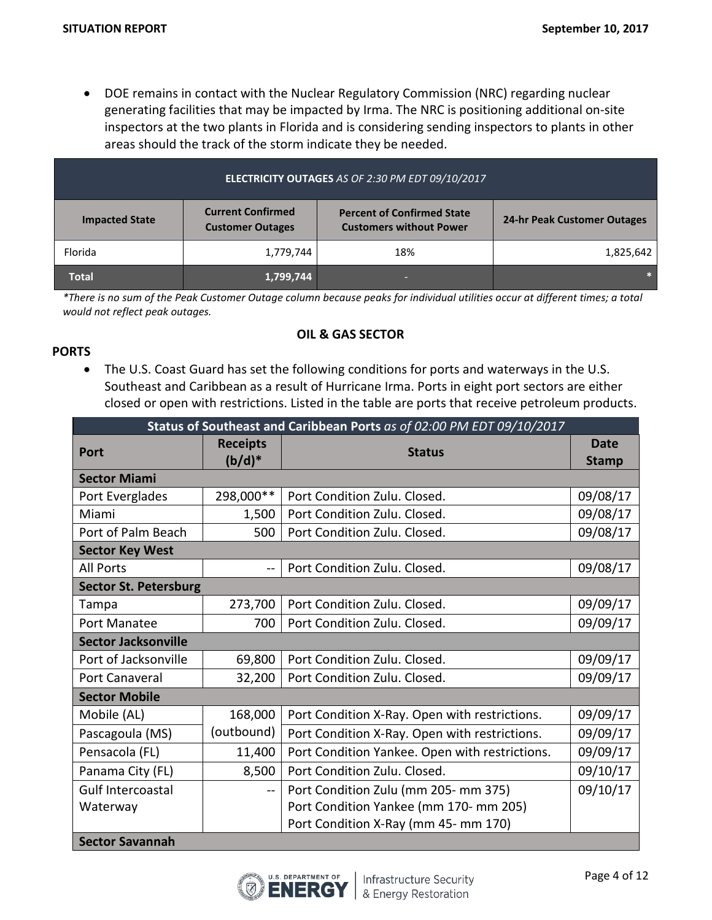• DOE remains in contact with the Nuclear Regulatory Commission (NRC) regarding nuclear generating facilities that may be impacted by Irma. The NRC is positioning additional on-site inspectors at the two plants in Florida and is considering sending inspectors to plants in other areas should the track of the storm indicate they be needed.

| ELECTRICITY OUTAGES AS OF 2:30 PM EDT 09/10/2017 |                                                     |                                                                     |                             |  |  |
|--------------------------------------------------|-----------------------------------------------------|---------------------------------------------------------------------|-----------------------------|--|--|
| <b>Impacted State</b>                            | <b>Current Confirmed</b><br><b>Customer Outages</b> | <b>Percent of Confirmed State</b><br><b>Customers without Power</b> | 24-hr Peak Customer Outages |  |  |
| Florida                                          | 1,779,744                                           | 18%                                                                 | 1,825,642                   |  |  |
| <b>Total</b>                                     | 1,799,744                                           |                                                                     |                             |  |  |

*\*There is no sum of the Peak Customer Outage column because peaks for individual utilities occur at different times; a total would not reflect peak outages.*

#### **OIL & GAS SECTOR**

#### **PORTS**

• The U.S. Coast Guard has set the following conditions for ports and waterways in the U.S. Southeast and Caribbean as a result of Hurricane Irma. Ports in eight port sectors are either closed or open with restrictions. Listed in the table are ports that receive petroleum products.

|                              | Status of Southeast and Caribbean Ports as of 02:00 PM EDT 09/10/2017 |                                                |                      |  |
|------------------------------|-----------------------------------------------------------------------|------------------------------------------------|----------------------|--|
| Port                         | <b>Receipts</b><br>$(b/d)^*$                                          | <b>Status</b>                                  | Date<br><b>Stamp</b> |  |
| <b>Sector Miami</b>          |                                                                       |                                                |                      |  |
| Port Everglades              | 298,000**                                                             | Port Condition Zulu. Closed.                   | 09/08/17             |  |
| Miami                        | 1,500                                                                 | Port Condition Zulu. Closed.                   | 09/08/17             |  |
| Port of Palm Beach           | 500                                                                   | Port Condition Zulu. Closed.                   | 09/08/17             |  |
| <b>Sector Key West</b>       |                                                                       |                                                |                      |  |
| <b>All Ports</b>             | $-$                                                                   | Port Condition Zulu, Closed.                   | 09/08/17             |  |
| <b>Sector St. Petersburg</b> |                                                                       |                                                |                      |  |
| Tampa                        | 273,700                                                               | Port Condition Zulu, Closed.                   | 09/09/17             |  |
| Port Manatee                 | 700                                                                   | Port Condition Zulu. Closed.                   | 09/09/17             |  |
| <b>Sector Jacksonville</b>   |                                                                       |                                                |                      |  |
| Port of Jacksonville         | 69,800                                                                | Port Condition Zulu. Closed.                   | 09/09/17             |  |
| Port Canaveral               | 32,200                                                                | Port Condition Zulu. Closed.                   | 09/09/17             |  |
| <b>Sector Mobile</b>         |                                                                       |                                                |                      |  |
| Mobile (AL)                  | 168,000                                                               | Port Condition X-Ray. Open with restrictions.  | 09/09/17             |  |
| Pascagoula (MS)              | (outbound)                                                            | Port Condition X-Ray. Open with restrictions.  | 09/09/17             |  |
| Pensacola (FL)               | 11,400                                                                | Port Condition Yankee. Open with restrictions. | 09/09/17             |  |
| Panama City (FL)             | 8,500                                                                 | Port Condition Zulu. Closed.                   | 09/10/17             |  |
| <b>Gulf Intercoastal</b>     | $\frac{1}{2}$                                                         | Port Condition Zulu (mm 205- mm 375)           | 09/10/17             |  |
| Waterway                     |                                                                       | Port Condition Yankee (mm 170- mm 205)         |                      |  |
|                              |                                                                       | Port Condition X-Ray (mm 45- mm 170)           |                      |  |
| <b>Sector Savannah</b>       |                                                                       |                                                |                      |  |

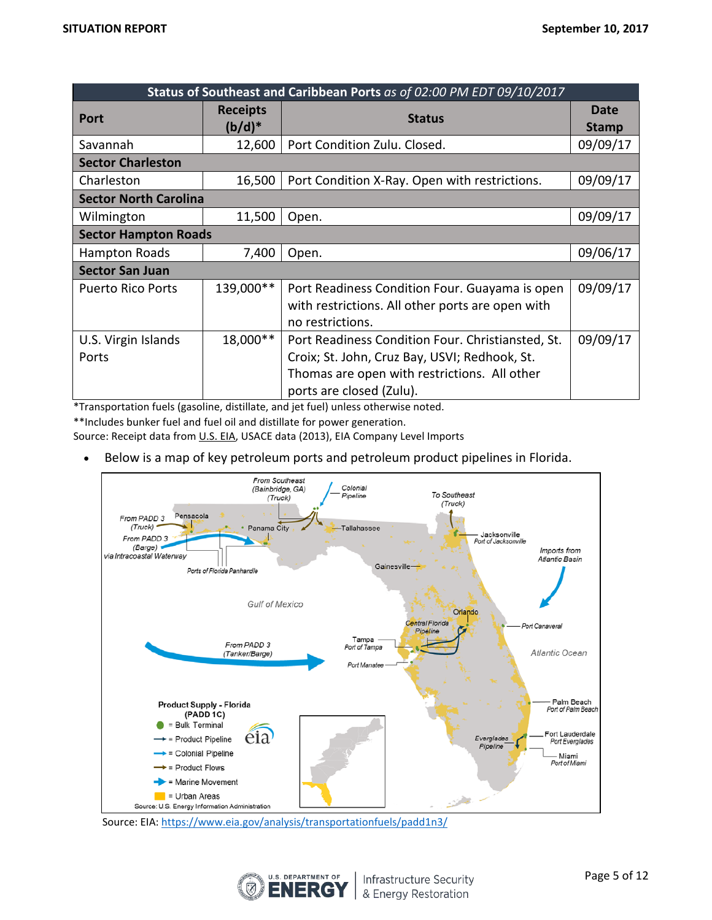|                              | Status of Southeast and Caribbean Ports as of 02:00 PM EDT 09/10/2017 |                                                   |                      |  |  |
|------------------------------|-----------------------------------------------------------------------|---------------------------------------------------|----------------------|--|--|
| <b>Port</b>                  | <b>Receipts</b><br>$(b/d)^*$                                          | <b>Status</b>                                     | Date<br><b>Stamp</b> |  |  |
| Savannah                     | 12,600                                                                | Port Condition Zulu. Closed.                      | 09/09/17             |  |  |
| <b>Sector Charleston</b>     |                                                                       |                                                   |                      |  |  |
| Charleston                   | 16,500                                                                | Port Condition X-Ray. Open with restrictions.     | 09/09/17             |  |  |
| <b>Sector North Carolina</b> |                                                                       |                                                   |                      |  |  |
| Wilmington                   | 11,500                                                                | Open.                                             | 09/09/17             |  |  |
| <b>Sector Hampton Roads</b>  |                                                                       |                                                   |                      |  |  |
| Hampton Roads                | 7,400                                                                 | Open.                                             | 09/06/17             |  |  |
| <b>Sector San Juan</b>       |                                                                       |                                                   |                      |  |  |
| <b>Puerto Rico Ports</b>     | 139,000**                                                             | Port Readiness Condition Four. Guayama is open    | 09/09/17             |  |  |
|                              |                                                                       | with restrictions. All other ports are open with  |                      |  |  |
|                              |                                                                       | no restrictions.                                  |                      |  |  |
| U.S. Virgin Islands          | 18,000**                                                              | Port Readiness Condition Four. Christiansted, St. | 09/09/17             |  |  |
| Ports                        |                                                                       | Croix; St. John, Cruz Bay, USVI; Redhook, St.     |                      |  |  |
|                              |                                                                       | Thomas are open with restrictions. All other      |                      |  |  |
|                              |                                                                       | ports are closed (Zulu).                          |                      |  |  |

\*Transportation fuels (gasoline, distillate, and jet fuel) unless otherwise noted.

\*\*Includes bunker fuel and fuel oil and distillate for power generation.

Source: Receipt data from [U.S. EIA,](https://www.eia.gov/analysis/transportationfuels/padd1n3/pdf/transportation_fuels_padd1n3.pdf) USACE data (2013), EIA Company Level Imports

Below is a map of key petroleum ports and petroleum product pipelines in Florida.



Source: EIA:<https://www.eia.gov/analysis/transportationfuels/padd1n3/>

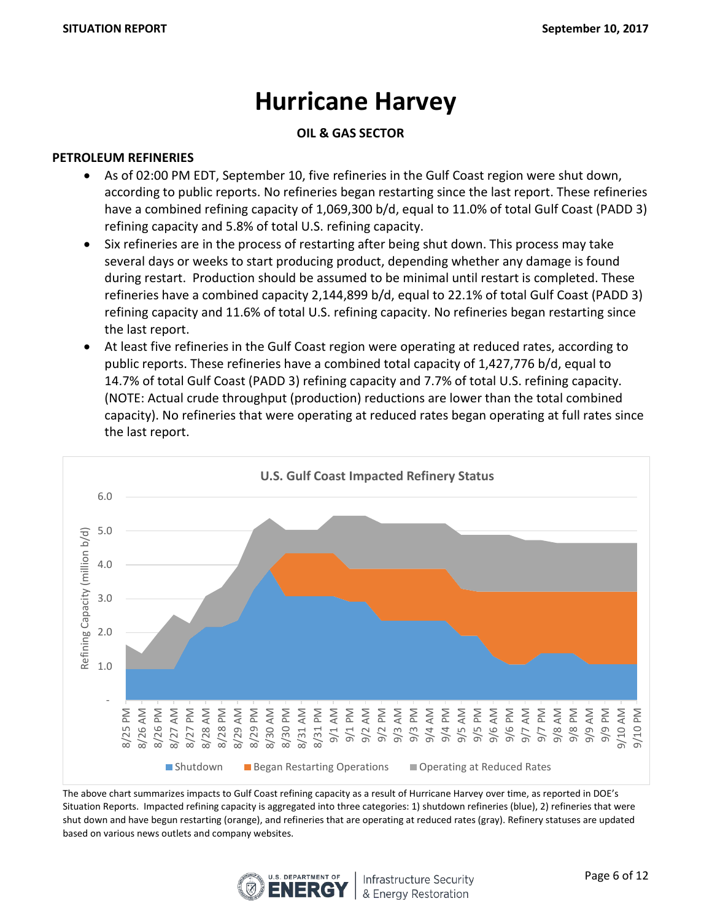# **Hurricane Harvey**

# **OIL & GAS SECTOR**

# **PETROLEUM REFINERIES**

- As of 02:00 PM EDT, September 10, five refineries in the Gulf Coast region were shut down, according to public reports. No refineries began restarting since the last report. These refineries have a combined refining capacity of 1,069,300 b/d, equal to 11.0% of total Gulf Coast (PADD 3) refining capacity and 5.8% of total U.S. refining capacity.
- Six refineries are in the process of restarting after being shut down. This process may take several days or weeks to start producing product, depending whether any damage is found during restart. Production should be assumed to be minimal until restart is completed. These refineries have a combined capacity 2,144,899 b/d, equal to 22.1% of total Gulf Coast (PADD 3) refining capacity and 11.6% of total U.S. refining capacity. No refineries began restarting since the last report.
- At least five refineries in the Gulf Coast region were operating at reduced rates, according to public reports. These refineries have a combined total capacity of 1,427,776 b/d, equal to 14.7% of total Gulf Coast (PADD 3) refining capacity and 7.7% of total U.S. refining capacity. (NOTE: Actual crude throughput (production) reductions are lower than the total combined capacity). No refineries that were operating at reduced rates began operating at full rates since the last report.



The above chart summarizes impacts to Gulf Coast refining capacity as a result of Hurricane Harvey over time, as reported in DOE's Situation Reports. Impacted refining capacity is aggregated into three categories: 1) shutdown refineries (blue), 2) refineries that were shut down and have begun restarting (orange), and refineries that are operating at reduced rates (gray). Refinery statuses are updated based on various news outlets and company websites.

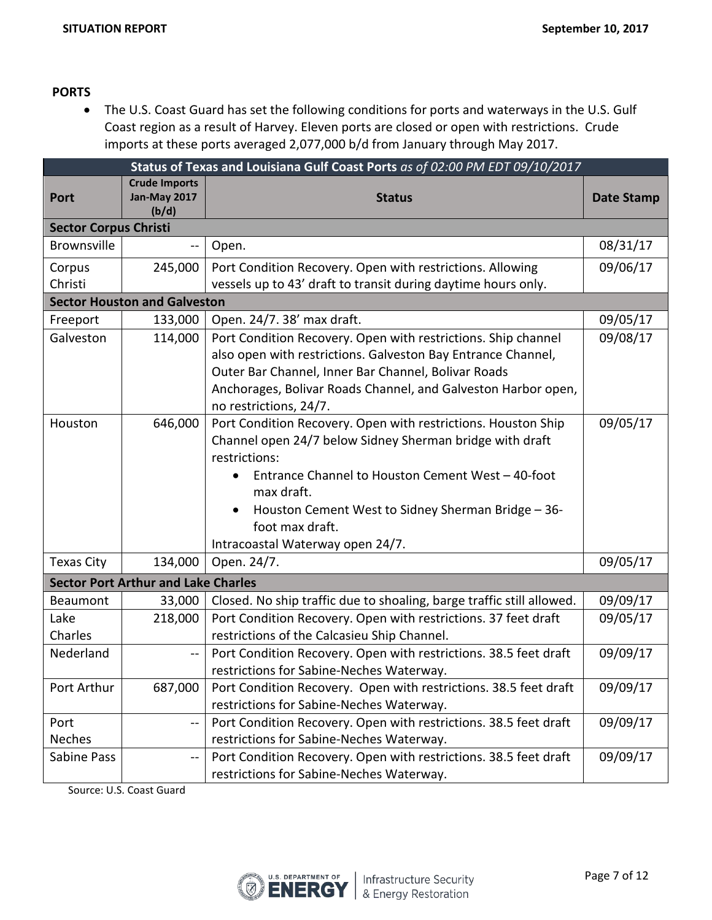### **PORTS**

• The U.S. Coast Guard has set the following conditions for ports and waterways in the U.S. Gulf Coast region as a result of Harvey. Eleven ports are closed or open with restrictions. Crude imports at these ports averaged 2,077,000 b/d from January through May 2017.

|                              | Status of Texas and Louisiana Gulf Coast Ports as of 02:00 PM EDT 09/10/2017 |                                                                       |                   |  |  |
|------------------------------|------------------------------------------------------------------------------|-----------------------------------------------------------------------|-------------------|--|--|
| <b>Port</b>                  | <b>Crude Imports</b><br><b>Jan-May 2017</b><br>(b/d)                         | <b>Status</b>                                                         | <b>Date Stamp</b> |  |  |
| <b>Sector Corpus Christi</b> |                                                                              |                                                                       |                   |  |  |
| <b>Brownsville</b>           | $-$                                                                          | Open.                                                                 | 08/31/17          |  |  |
| Corpus                       | 245,000                                                                      | Port Condition Recovery. Open with restrictions. Allowing             | 09/06/17          |  |  |
| Christi                      |                                                                              | vessels up to 43' draft to transit during daytime hours only.         |                   |  |  |
|                              | <b>Sector Houston and Galveston</b>                                          |                                                                       |                   |  |  |
| Freeport                     | 133,000                                                                      | Open. 24/7. 38' max draft.                                            | 09/05/17          |  |  |
| Galveston                    | 114,000                                                                      | Port Condition Recovery. Open with restrictions. Ship channel         | 09/08/17          |  |  |
|                              |                                                                              | also open with restrictions. Galveston Bay Entrance Channel,          |                   |  |  |
|                              |                                                                              | Outer Bar Channel, Inner Bar Channel, Bolivar Roads                   |                   |  |  |
|                              |                                                                              | Anchorages, Bolivar Roads Channel, and Galveston Harbor open,         |                   |  |  |
|                              |                                                                              | no restrictions, 24/7.                                                |                   |  |  |
| Houston                      | 646,000                                                                      | Port Condition Recovery. Open with restrictions. Houston Ship         | 09/05/17          |  |  |
|                              |                                                                              | Channel open 24/7 below Sidney Sherman bridge with draft              |                   |  |  |
|                              |                                                                              | restrictions:                                                         |                   |  |  |
|                              |                                                                              | Entrance Channel to Houston Cement West - 40-foot<br>max draft.       |                   |  |  |
|                              |                                                                              | Houston Cement West to Sidney Sherman Bridge - 36-                    |                   |  |  |
|                              |                                                                              | foot max draft.                                                       |                   |  |  |
|                              |                                                                              | Intracoastal Waterway open 24/7.                                      |                   |  |  |
| <b>Texas City</b>            | 134,000                                                                      | Open. 24/7.                                                           | 09/05/17          |  |  |
|                              | <b>Sector Port Arthur and Lake Charles</b>                                   |                                                                       |                   |  |  |
| Beaumont                     | 33,000                                                                       | Closed. No ship traffic due to shoaling, barge traffic still allowed. | 09/09/17          |  |  |
| Lake                         | 218,000                                                                      | Port Condition Recovery. Open with restrictions. 37 feet draft        | 09/05/17          |  |  |
| Charles                      |                                                                              | restrictions of the Calcasieu Ship Channel.                           |                   |  |  |
| Nederland                    | $\mathcal{L} \mathcal{L}$                                                    | Port Condition Recovery. Open with restrictions. 38.5 feet draft      | 09/09/17          |  |  |
|                              |                                                                              | restrictions for Sabine-Neches Waterway.                              |                   |  |  |
| Port Arthur                  | 687,000                                                                      | Port Condition Recovery. Open with restrictions. 38.5 feet draft      | 09/09/17          |  |  |
|                              |                                                                              | restrictions for Sabine-Neches Waterway.                              |                   |  |  |
| Port                         | $\rightarrow$                                                                | Port Condition Recovery. Open with restrictions. 38.5 feet draft      | 09/09/17          |  |  |
| Neches                       |                                                                              | restrictions for Sabine-Neches Waterway.                              |                   |  |  |
| Sabine Pass                  | --                                                                           | Port Condition Recovery. Open with restrictions. 38.5 feet draft      | 09/09/17          |  |  |
|                              |                                                                              | restrictions for Sabine-Neches Waterway.                              |                   |  |  |

Source: U.S. Coast Guard

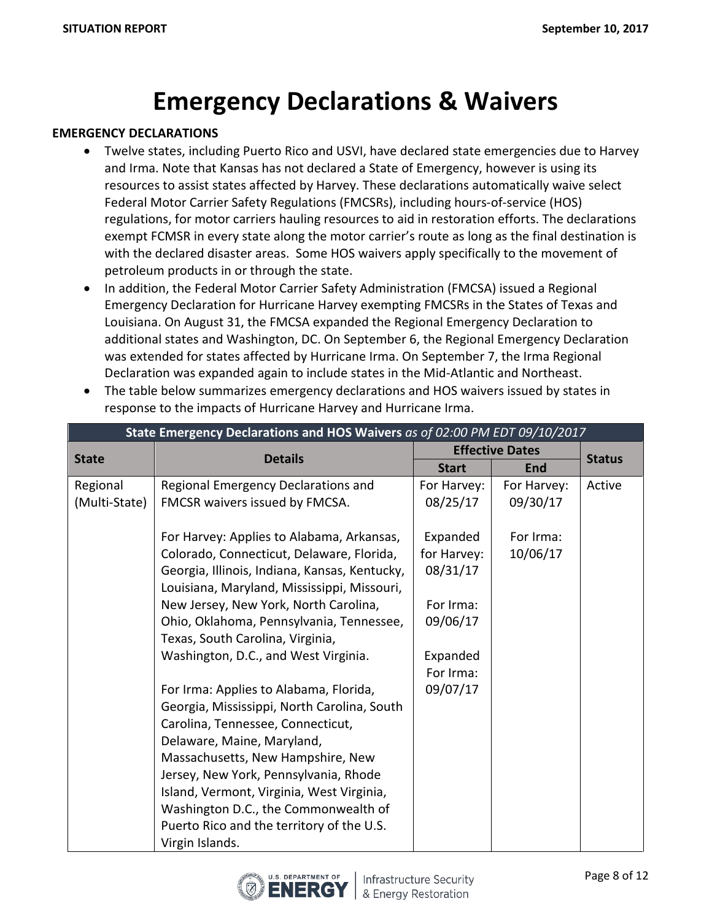# **Emergency Declarations & Waivers**

#### **EMERGENCY DECLARATIONS**

- Twelve states, including Puerto Rico and USVI, have declared state emergencies due to Harvey and Irma. Note that Kansas has not declared a State of Emergency, however is using its resources to assist states affected by Harvey. These declarations automatically waive select Federal Motor Carrier Safety Regulations (FMCSRs), including hours-of-service (HOS) regulations, for motor carriers hauling resources to aid in restoration efforts. The declarations exempt FCMSR in every state along the motor carrier's route as long as the final destination is with the declared disaster areas. Some HOS waivers apply specifically to the movement of petroleum products in or through the state.
- In addition, the Federal Motor Carrier Safety Administration (FMCSA) issued a Regional Emergency Declaration for Hurricane Harvey exempting FMCSRs in the States of Texas and Louisiana. On August 31, the FMCSA expanded the Regional Emergency Declaration to additional states and Washington, DC. On September 6, the Regional Emergency Declaration was extended for states affected by Hurricane Irma. On September 7, the Irma Regional Declaration was expanded again to include states in the Mid-Atlantic and Northeast.

|               | State Emergency Declarations and HOS Waivers as of 02:00 PM EDT 09/10/2017 |              |                        |               |  |  |  |
|---------------|----------------------------------------------------------------------------|--------------|------------------------|---------------|--|--|--|
|               |                                                                            |              | <b>Effective Dates</b> |               |  |  |  |
| <b>State</b>  | <b>Details</b>                                                             | <b>Start</b> | <b>End</b>             | <b>Status</b> |  |  |  |
| Regional      | Regional Emergency Declarations and                                        | For Harvey:  | For Harvey:            | Active        |  |  |  |
| (Multi-State) | FMCSR waivers issued by FMCSA.                                             | 08/25/17     | 09/30/17               |               |  |  |  |
|               |                                                                            |              |                        |               |  |  |  |
|               | For Harvey: Applies to Alabama, Arkansas,                                  | Expanded     | For Irma:              |               |  |  |  |
|               | Colorado, Connecticut, Delaware, Florida,                                  | for Harvey:  | 10/06/17               |               |  |  |  |
|               | Georgia, Illinois, Indiana, Kansas, Kentucky,                              | 08/31/17     |                        |               |  |  |  |
|               | Louisiana, Maryland, Mississippi, Missouri,                                |              |                        |               |  |  |  |
|               | New Jersey, New York, North Carolina,                                      | For Irma:    |                        |               |  |  |  |
|               | Ohio, Oklahoma, Pennsylvania, Tennessee,                                   | 09/06/17     |                        |               |  |  |  |
|               | Texas, South Carolina, Virginia,                                           |              |                        |               |  |  |  |
|               | Washington, D.C., and West Virginia.                                       | Expanded     |                        |               |  |  |  |
|               |                                                                            | For Irma:    |                        |               |  |  |  |
|               | For Irma: Applies to Alabama, Florida,                                     | 09/07/17     |                        |               |  |  |  |
|               | Georgia, Mississippi, North Carolina, South                                |              |                        |               |  |  |  |
|               | Carolina, Tennessee, Connecticut,                                          |              |                        |               |  |  |  |
|               | Delaware, Maine, Maryland,                                                 |              |                        |               |  |  |  |
|               | Massachusetts, New Hampshire, New                                          |              |                        |               |  |  |  |
|               | Jersey, New York, Pennsylvania, Rhode                                      |              |                        |               |  |  |  |
|               | Island, Vermont, Virginia, West Virginia,                                  |              |                        |               |  |  |  |
|               | Washington D.C., the Commonwealth of                                       |              |                        |               |  |  |  |
|               | Puerto Rico and the territory of the U.S.                                  |              |                        |               |  |  |  |
|               | Virgin Islands.                                                            |              |                        |               |  |  |  |

• The table below summarizes emergency declarations and HOS waivers issued by states in response to the impacts of Hurricane Harvey and Hurricane Irma.

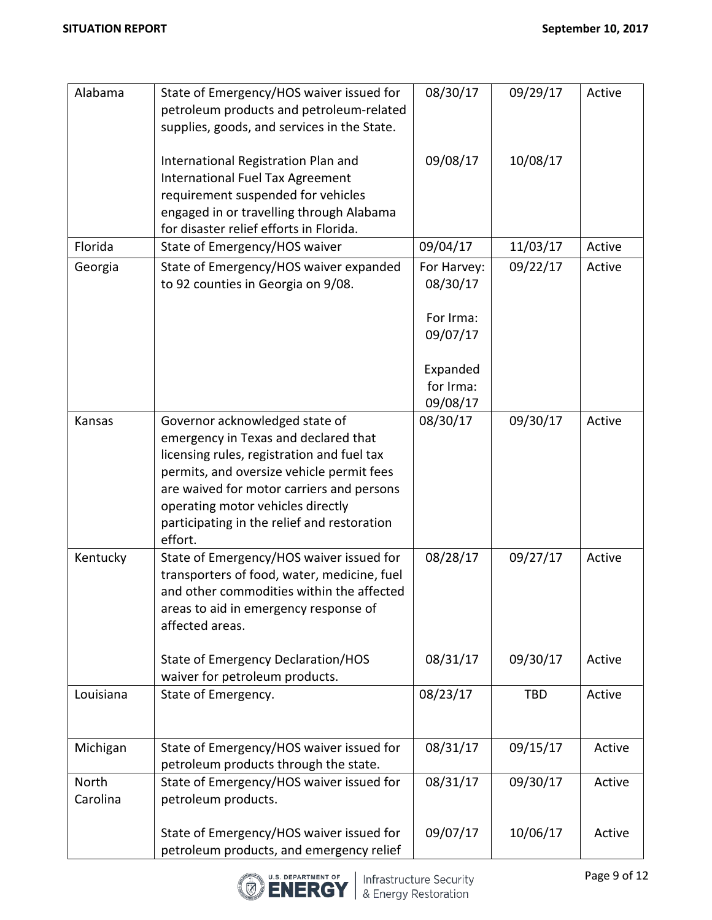| Alabama   | State of Emergency/HOS waiver issued for                                       | 08/30/17    | 09/29/17   | Active |
|-----------|--------------------------------------------------------------------------------|-------------|------------|--------|
|           | petroleum products and petroleum-related                                       |             |            |        |
|           | supplies, goods, and services in the State.                                    |             |            |        |
|           |                                                                                |             |            |        |
|           | International Registration Plan and<br><b>International Fuel Tax Agreement</b> | 09/08/17    | 10/08/17   |        |
|           | requirement suspended for vehicles                                             |             |            |        |
|           | engaged in or travelling through Alabama                                       |             |            |        |
|           | for disaster relief efforts in Florida.                                        |             |            |        |
| Florida   | State of Emergency/HOS waiver                                                  | 09/04/17    | 11/03/17   | Active |
| Georgia   | State of Emergency/HOS waiver expanded                                         | For Harvey: | 09/22/17   | Active |
|           | to 92 counties in Georgia on 9/08.                                             | 08/30/17    |            |        |
|           |                                                                                |             |            |        |
|           |                                                                                | For Irma:   |            |        |
|           |                                                                                | 09/07/17    |            |        |
|           |                                                                                |             |            |        |
|           |                                                                                | Expanded    |            |        |
|           |                                                                                | for Irma:   |            |        |
|           |                                                                                | 09/08/17    |            |        |
| Kansas    | Governor acknowledged state of                                                 | 08/30/17    | 09/30/17   | Active |
|           | emergency in Texas and declared that                                           |             |            |        |
|           | licensing rules, registration and fuel tax                                     |             |            |        |
|           | permits, and oversize vehicle permit fees                                      |             |            |        |
|           | are waived for motor carriers and persons                                      |             |            |        |
|           | operating motor vehicles directly                                              |             |            |        |
|           | participating in the relief and restoration                                    |             |            |        |
|           | effort.                                                                        |             |            |        |
| Kentucky  | State of Emergency/HOS waiver issued for                                       | 08/28/17    | 09/27/17   | Active |
|           | transporters of food, water, medicine, fuel                                    |             |            |        |
|           | and other commodities within the affected                                      |             |            |        |
|           | areas to aid in emergency response of                                          |             |            |        |
|           | affected areas.                                                                |             |            |        |
|           | <b>State of Emergency Declaration/HOS</b>                                      | 08/31/17    | 09/30/17   | Active |
|           | waiver for petroleum products.                                                 |             |            |        |
| Louisiana | State of Emergency.                                                            | 08/23/17    | <b>TBD</b> | Active |
|           |                                                                                |             |            |        |
|           |                                                                                |             |            |        |
| Michigan  | State of Emergency/HOS waiver issued for                                       | 08/31/17    | 09/15/17   | Active |
|           | petroleum products through the state.                                          |             |            |        |
| North     | State of Emergency/HOS waiver issued for                                       | 08/31/17    | 09/30/17   | Active |
| Carolina  | petroleum products.                                                            |             |            |        |
|           |                                                                                |             |            |        |
|           | State of Emergency/HOS waiver issued for                                       | 09/07/17    | 10/06/17   | Active |
|           | petroleum products, and emergency relief                                       |             |            |        |

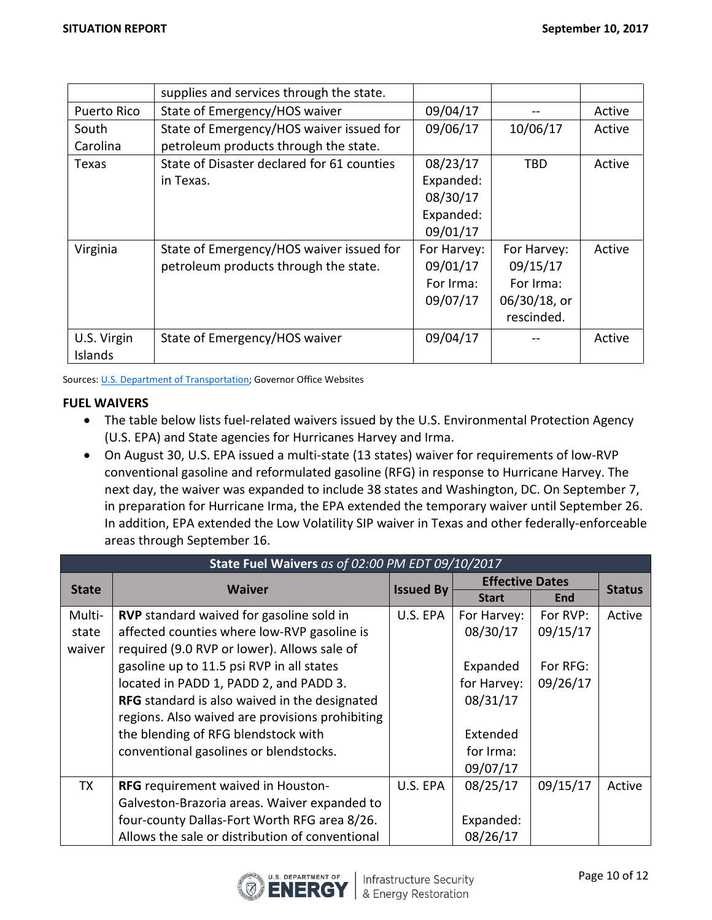|                    | supplies and services through the state.   |             |              |        |
|--------------------|--------------------------------------------|-------------|--------------|--------|
| <b>Puerto Rico</b> | State of Emergency/HOS waiver              | 09/04/17    |              | Active |
| South              | State of Emergency/HOS waiver issued for   | 09/06/17    | 10/06/17     | Active |
| Carolina           | petroleum products through the state.      |             |              |        |
| Texas              | State of Disaster declared for 61 counties | 08/23/17    | <b>TBD</b>   | Active |
|                    | in Texas.                                  | Expanded:   |              |        |
|                    |                                            | 08/30/17    |              |        |
|                    |                                            | Expanded:   |              |        |
|                    |                                            | 09/01/17    |              |        |
| Virginia           | State of Emergency/HOS waiver issued for   | For Harvey: | For Harvey:  | Active |
|                    | petroleum products through the state.      | 09/01/17    | 09/15/17     |        |
|                    |                                            | For Irma:   | For Irma:    |        |
|                    |                                            | 09/07/17    | 06/30/18, or |        |
|                    |                                            |             | rescinded.   |        |
| U.S. Virgin        | State of Emergency/HOS waiver              | 09/04/17    |              | Active |
| Islands            |                                            |             |              |        |

Sources: [U.S. Department of Transportation;](http://www.fmcsa.dot.gov/emergency) Governor Office Websites

#### **FUEL WAIVERS**

- The table below lists fuel-related waivers issued by the U.S. Environmental Protection Agency (U.S. EPA) and State agencies for Hurricanes Harvey and Irma.
- On August 30, U.S. EPA issued a multi-state (13 states) waiver for requirements of low-RVP conventional gasoline and reformulated gasoline (RFG) in response to Hurricane Harvey. The next day, the waiver was expanded to include 38 states and Washington, DC. On September 7, in preparation for Hurricane Irma, the EPA extended the temporary waiver until September 26. In addition, EPA extended the Low Volatility SIP waiver in Texas and other federally-enforceable areas through September 16.

|              | State Fuel Waivers as of 02:00 PM EDT 09/10/2017 |                  |                        |          |               |  |
|--------------|--------------------------------------------------|------------------|------------------------|----------|---------------|--|
| <b>State</b> | <b>Waiver</b>                                    |                  | <b>Effective Dates</b> |          |               |  |
|              |                                                  | <b>Issued By</b> | <b>Start</b>           | End      | <b>Status</b> |  |
| Multi-       | <b>RVP</b> standard waived for gasoline sold in  | U.S. EPA         | For Harvey:            | For RVP: | Active        |  |
| state        | affected counties where low-RVP gasoline is      |                  | 08/30/17               | 09/15/17 |               |  |
| waiver       | required (9.0 RVP or lower). Allows sale of      |                  |                        |          |               |  |
|              | gasoline up to 11.5 psi RVP in all states        |                  | Expanded               | For RFG: |               |  |
|              | located in PADD 1, PADD 2, and PADD 3.           |                  | for Harvey:            | 09/26/17 |               |  |
|              | RFG standard is also waived in the designated    |                  | 08/31/17               |          |               |  |
|              | regions. Also waived are provisions prohibiting  |                  |                        |          |               |  |
|              | the blending of RFG blendstock with              |                  | Extended               |          |               |  |
|              | conventional gasolines or blendstocks.           |                  | for Irma:              |          |               |  |
|              |                                                  |                  | 09/07/17               |          |               |  |
| TX           | RFG requirement waived in Houston-               | U.S. EPA         | 08/25/17               | 09/15/17 | Active        |  |
|              | Galveston-Brazoria areas. Waiver expanded to     |                  |                        |          |               |  |
|              | four-county Dallas-Fort Worth RFG area 8/26.     |                  | Expanded:              |          |               |  |
|              | Allows the sale or distribution of conventional  |                  | 08/26/17               |          |               |  |

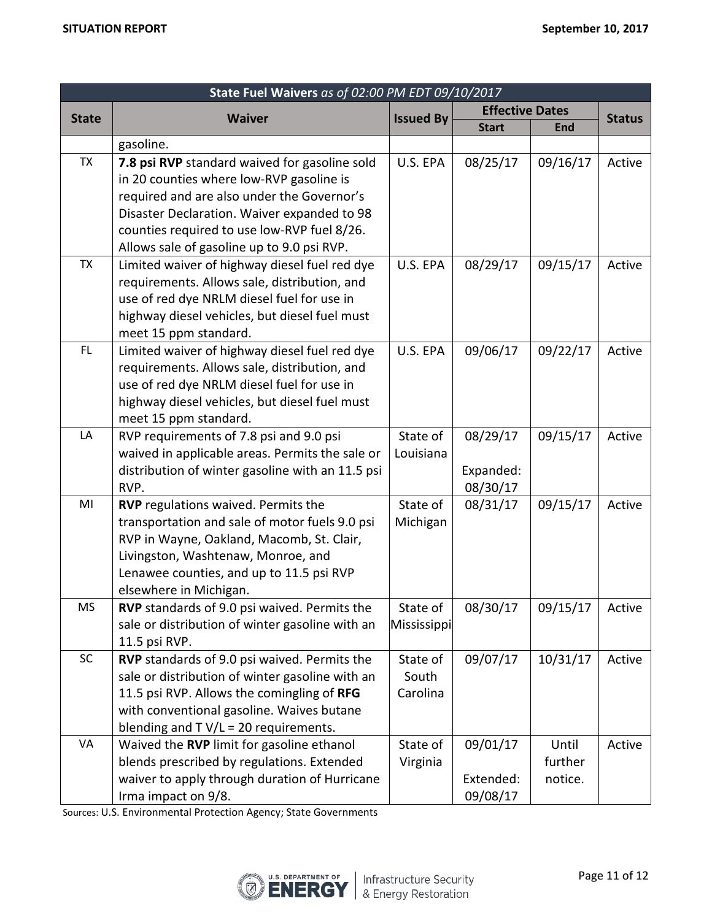|              | State Fuel Waivers as of 02:00 PM EDT 09/10/2017                       |                  |                        |          |               |  |
|--------------|------------------------------------------------------------------------|------------------|------------------------|----------|---------------|--|
| <b>State</b> | <b>Waiver</b>                                                          | <b>Issued By</b> | <b>Effective Dates</b> |          | <b>Status</b> |  |
|              |                                                                        |                  | <b>Start</b>           | End      |               |  |
|              | gasoline.                                                              |                  |                        |          |               |  |
| <b>TX</b>    | 7.8 psi RVP standard waived for gasoline sold                          | U.S. EPA         | 08/25/17               | 09/16/17 | Active        |  |
|              | in 20 counties where low-RVP gasoline is                               |                  |                        |          |               |  |
|              | required and are also under the Governor's                             |                  |                        |          |               |  |
|              | Disaster Declaration. Waiver expanded to 98                            |                  |                        |          |               |  |
|              | counties required to use low-RVP fuel 8/26.                            |                  |                        |          |               |  |
|              | Allows sale of gasoline up to 9.0 psi RVP.                             |                  |                        |          |               |  |
| <b>TX</b>    | Limited waiver of highway diesel fuel red dye                          | U.S. EPA         | 08/29/17               | 09/15/17 | Active        |  |
|              | requirements. Allows sale, distribution, and                           |                  |                        |          |               |  |
|              | use of red dye NRLM diesel fuel for use in                             |                  |                        |          |               |  |
|              | highway diesel vehicles, but diesel fuel must                          |                  |                        |          |               |  |
| FL.          | meet 15 ppm standard.<br>Limited waiver of highway diesel fuel red dye | U.S. EPA         | 09/06/17               | 09/22/17 | Active        |  |
|              | requirements. Allows sale, distribution, and                           |                  |                        |          |               |  |
|              | use of red dye NRLM diesel fuel for use in                             |                  |                        |          |               |  |
|              | highway diesel vehicles, but diesel fuel must                          |                  |                        |          |               |  |
|              | meet 15 ppm standard.                                                  |                  |                        |          |               |  |
| LA           | RVP requirements of 7.8 psi and 9.0 psi                                | State of         | 08/29/17               | 09/15/17 | Active        |  |
|              | waived in applicable areas. Permits the sale or                        | Louisiana        |                        |          |               |  |
|              | distribution of winter gasoline with an 11.5 psi                       |                  | Expanded:              |          |               |  |
|              | RVP.                                                                   |                  | 08/30/17               |          |               |  |
| MI           | RVP regulations waived. Permits the                                    | State of         | 08/31/17               | 09/15/17 | Active        |  |
|              | transportation and sale of motor fuels 9.0 psi                         | Michigan         |                        |          |               |  |
|              | RVP in Wayne, Oakland, Macomb, St. Clair,                              |                  |                        |          |               |  |
|              | Livingston, Washtenaw, Monroe, and                                     |                  |                        |          |               |  |
|              | Lenawee counties, and up to 11.5 psi RVP                               |                  |                        |          |               |  |
|              | elsewhere in Michigan.                                                 |                  |                        |          |               |  |
| <b>MS</b>    | <b>RVP</b> standards of 9.0 psi waived. Permits the                    | State of         | 08/30/17               | 09/15/17 | Active        |  |
|              | sale or distribution of winter gasoline with an                        | Mississippi      |                        |          |               |  |
|              | 11.5 psi RVP.                                                          |                  |                        |          |               |  |
| SC           | RVP standards of 9.0 psi waived. Permits the                           | State of         | 09/07/17               | 10/31/17 | Active        |  |
|              | sale or distribution of winter gasoline with an                        | South            |                        |          |               |  |
|              | 11.5 psi RVP. Allows the comingling of RFG                             | Carolina         |                        |          |               |  |
|              | with conventional gasoline. Waives butane                              |                  |                        |          |               |  |
|              | blending and $T V/L = 20$ requirements.                                |                  |                        |          |               |  |
| VA           | Waived the RVP limit for gasoline ethanol                              | State of         | 09/01/17               | Until    | Active        |  |
|              | blends prescribed by regulations. Extended                             | Virginia         |                        | further  |               |  |
|              | waiver to apply through duration of Hurricane                          |                  | Extended:              | notice.  |               |  |
|              | Irma impact on 9/8.                                                    |                  | 09/08/17               |          |               |  |

Sources: U.S. Environmental Protection Agency; State Governments